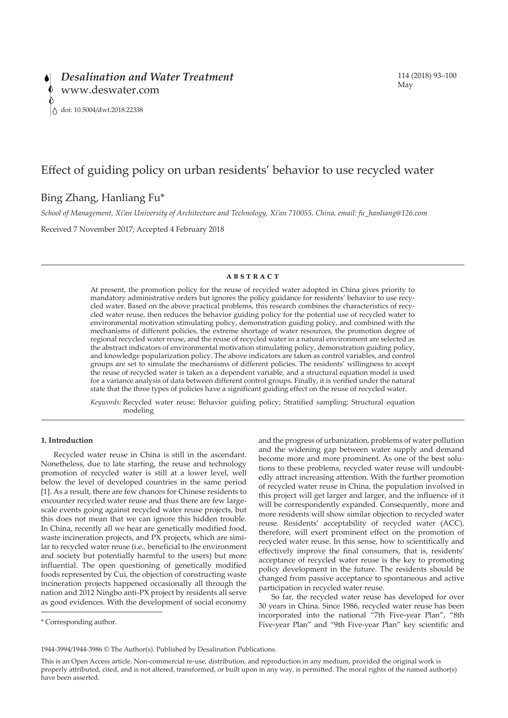# Effect of guiding policy on urban residents' behavior to use recycled water

# Bing Zhang, Hanliang Fu\*

*School of Management, Xi'an University of Architecture and Technology, Xi'an 710055, China, email: fu\_hanliang@126.com*

Received 7 November 2017; Accepted 4 February 2018

### **ABSTRACT**

At present, the promotion policy for the reuse of recycled water adopted in China gives priority to mandatory administrative orders but ignores the policy guidance for residents' behavior to use recycled water. Based on the above practical problems, this research combines the characteristics of recycled water reuse, then reduces the behavior guiding policy for the potential use of recycled water to environmental motivation stimulating policy, demonstration guiding policy, and combined with the mechanisms of different policies, the extreme shortage of water resources, the promotion degree of regional recycled water reuse, and the reuse of recycled water in a natural environment are selected as the abstract indicators of environmental motivation stimulating policy, demonstration guiding policy, and knowledge popularization policy. The above indicators are taken as control variables, and control groups are set to simulate the mechanisms of different policies. The residents' willingness to accept the reuse of recycled water is taken as a dependent variable, and a structural equation model is used for a variance analysis of data between different control groups. Finally, it is verified under the natural state that the three types of policies have a significant guiding effect on the reuse of recycled water.

*Keywords:* Recycled water reuse; Behavior guiding policy; Stratified sampling; Structural equation modeling

# **1. Introduction**

Recycled water reuse in China is still in the ascendant. Nonetheless, due to late starting, the reuse and technology promotion of recycled water is still at a lower level, well below the level of developed countries in the same period [1]. As a result, there are few chances for Chinese residents to encounter recycled water reuse and thus there are few largescale events going against recycled water reuse projects, but this does not mean that we can ignore this hidden trouble. In China, recently all we hear are genetically modified food, waste incineration projects, and PX projects, which are similar to recycled water reuse (i.e., beneficial to the environment and society but potentially harmful to the users) but more influential. The open questioning of genetically modified foods represented by Cui, the objection of constructing waste incineration projects happened occasionally all through the nation and 2012 Ningbo anti-PX project by residents all serve as good evidences. With the development of social economy

and the progress of urbanization, problems of water pollution and the widening gap between water supply and demand become more and more prominent. As one of the best solutions to these problems, recycled water reuse will undoubtedly attract increasing attention. With the further promotion of recycled water reuse in China, the population involved in this project will get larger and larger, and the influence of it will be correspondently expanded. Consequently, more and more residents will show similar objection to recycled water reuse. Residents' acceptability of recycled water (ACC), therefore, will exert prominent effect on the promotion of recycled water reuse. In this sense, how to scientifically and effectively improve the final consumers, that is, residents' acceptance of recycled water reuse is the key to promoting policy development in the future. The residents should be changed from passive acceptance to spontaneous and active participation in recycled water reuse.

So far, the recycled water reuse has developed for over 30 years in China. Since 1986, recycled water reuse has been incorporated into the national "7th Five-year Plan", "8th Five-year Plan" and "9th Five-year Plan" key scientific and

<sup>\*</sup> Corresponding author.

<sup>1944-3994/1944-3986 ©</sup> The Author(s). Published by Desalination Publications.

This is an Open Access article. Non-commercial re-use, distribution, and reproduction in any medium, provided the original work is properly attributed, cited, and is not altered, transformed, or built upon in any way, is permitted. The moral rights of the named author(s) have been asserted.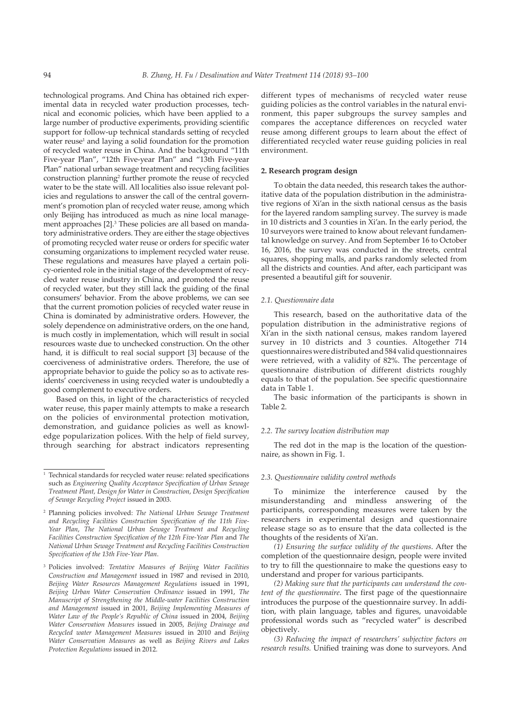technological programs. And China has obtained rich experimental data in recycled water production processes, technical and economic policies, which have been applied to a large number of productive experiments, providing scientific support for follow-up technical standards setting of recycled water reuse<sup>1</sup> and laying a solid foundation for the promotion of recycled water reuse in China. And the background "11th Five-year Plan", "12th Five-year Plan" and "13th Five-year Plan" national urban sewage treatment and recycling facilities construction planning<sup>2</sup> further promote the reuse of recycled water to be the state will. All localities also issue relevant policies and regulations to answer the call of the central government's promotion plan of recycled water reuse, among which only Beijing has introduced as much as nine local management approaches [2].<sup>3</sup> These policies are all based on mandatory administrative orders. They are either the stage objectives of promoting recycled water reuse or orders for specific water consuming organizations to implement recycled water reuse. These regulations and measures have played a certain policy-oriented role in the initial stage of the development of recycled water reuse industry in China, and promoted the reuse of recycled water, but they still lack the guiding of the final consumers' behavior. From the above problems, we can see that the current promotion policies of recycled water reuse in China is dominated by administrative orders. However, the solely dependence on administrative orders, on the one hand, is much costly in implementation, which will result in social resources waste due to unchecked construction. On the other hand, it is difficult to real social support [3] because of the coerciveness of administrative orders. Therefore, the use of appropriate behavior to guide the policy so as to activate residents' coerciveness in using recycled water is undoubtedly a good complement to executive orders.

Based on this, in light of the characteristics of recycled water reuse, this paper mainly attempts to make a research on the policies of environmental protection motivation, demonstration, and guidance policies as well as knowledge popularization polices. With the help of field survey, through searching for abstract indicators representing

different types of mechanisms of recycled water reuse guiding policies as the control variables in the natural environment, this paper subgroups the survey samples and compares the acceptance differences on recycled water reuse among different groups to learn about the effect of differentiated recycled water reuse guiding policies in real environment.

### **2. Research program design**

To obtain the data needed, this research takes the authoritative data of the population distribution in the administrative regions of Xi'an in the sixth national census as the basis for the layered random sampling survey. The survey is made in 10 districts and 3 counties in Xi'an. In the early period, the 10 surveyors were trained to know about relevant fundamental knowledge on survey. And from September 16 to October 16, 2016, the survey was conducted in the streets, central squares, shopping malls, and parks randomly selected from all the districts and counties. And after, each participant was presented a beautiful gift for souvenir.

#### *2.1. Questionnaire data*

This research, based on the authoritative data of the population distribution in the administrative regions of Xi'an in the sixth national census, makes random layered survey in 10 districts and 3 counties. Altogether 714 questionnaires were distributed and 584 valid questionnaires were retrieved, with a validity of 82%. The percentage of questionnaire distribution of different districts roughly equals to that of the population. See specific questionnaire data in Table 1.

The basic information of the participants is shown in Table 2.

#### *2.2. The survey location distribution map*

The red dot in the map is the location of the questionnaire, as shown in Fig. 1.

#### *2.3. Questionnaire validity control methods*

To minimize the interference caused by the misunderstanding and mindless answering of the participants, corresponding measures were taken by the researchers in experimental design and questionnaire release stage so as to ensure that the data collected is the thoughts of the residents of Xi'an.

*(1) Ensuring the surface validity of the questions*. After the completion of the questionnaire design, people were invited to try to fill the questionnaire to make the questions easy to understand and proper for various participants.

*(2) Making sure that the participants can understand the content of the questionnaire*. The first page of the questionnaire introduces the purpose of the questionnaire survey. In addition, with plain language, tables and figures, unavoidable professional words such as "recycled water" is described objectively.

*(3) Reducing the impact of researchers' subjective factors on research results.* Unified training was done to surveyors. And

 $\overline{1}$  Technical standards for recycled water reuse: related specifications such as *Engineering Quality Acceptance Specification of Urban Sewage Treatment Plant, Design for Water in Construction*, *Design Specification of Sewage Recycling Project* issued in 2003.

<sup>2</sup> Planning policies involved: *The National Urban Sewage Treatment and Recycling Facilities Construction Specification of the 11th Five-Year Plan*, *The National Urban Sewage Treatment and Recycling Facilities Construction Specification of the 12th Five-Year Plan* and *The National Urban Sewage Treatment and Recycling Facilities Construction Specification of the 13th Five-Year Plan*.

<sup>3</sup> Policies involved: *Tentative Measures of Beijing Water Facilities Construction and Management* issued in 1987 and revised in 2010, *Beijing Water Resources Management Regulations* issued in 1991, *Beijing Urban Water Conservation Ordinance* issued in 1991, *The Manuscript of Strengthening the Middle-water Facilities Construction and Management* issued in 2001, *Beijing Implementing Measures of Water Law of the People's Republic of China* issued in 2004, *Beijing Water Conservation Measures* issued in 2005, *Beijing Drainage and Recycled water Management Measures* issued in 2010 and *Beijing Water Conservation Measures* as well as *Beijing Rivers and Lakes Protection Regulations* issued in 2012.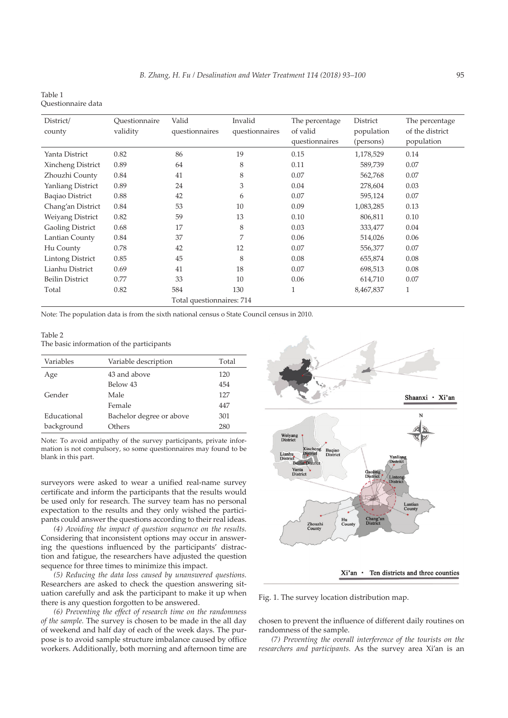| Table 1            |  |
|--------------------|--|
| Ouestionnaire data |  |

| District/<br>county       | Ouestionnaire<br>validity | Valid<br>questionnaires | Invalid<br>questionnaires | The percentage<br>of valid<br>questionnaires | District<br>population<br>(persons) | The percentage<br>of the district<br>population |  |
|---------------------------|---------------------------|-------------------------|---------------------------|----------------------------------------------|-------------------------------------|-------------------------------------------------|--|
| Yanta District            | 0.82                      | 86                      | 19                        | 0.15                                         | 1,178,529                           | 0.14                                            |  |
| Xincheng District         | 0.89                      | 64                      | 8                         | 0.11                                         | 589,739                             | 0.07                                            |  |
| Zhouzhi County            | 0.84                      | 41                      | 8                         | 0.07                                         | 562,768                             | 0.07                                            |  |
| Yanliang District         | 0.89                      | 24                      | 3                         | 0.04                                         | 278,604                             | 0.03                                            |  |
| <b>Baqiao District</b>    | 0.88                      | 42                      | 6                         | 0.07                                         | 595,124                             | 0.07                                            |  |
| Chang'an District         | 0.84                      | 53                      | 10                        | 0.09                                         | 1,083,285                           | 0.13                                            |  |
| Weiyang District          | 0.82                      | 59                      | 13                        | 0.10                                         | 806,811                             | 0.10                                            |  |
| <b>Gaoling District</b>   | 0.68                      | 17                      | 8                         | 0.03                                         | 333,477                             | 0.04                                            |  |
| Lantian County            | 0.84                      | 37                      | 7                         | 0.06                                         | 514,026                             | 0.06                                            |  |
| Hu County                 | 0.78                      | 42                      | 12                        | 0.07                                         | 556,377                             | 0.07                                            |  |
| <b>Lintong District</b>   | 0.85                      | 45                      | 8                         | 0.08                                         | 655,874                             | 0.08                                            |  |
| Lianhu District           | 0.69                      | 41                      | 18                        | 0.07                                         | 698,513                             | 0.08                                            |  |
| <b>Beilin District</b>    | 0.77                      | 33                      | 10                        | 0.06                                         | 614,710                             | 0.07                                            |  |
| Total                     | 0.82                      | 584                     | 130                       | 1                                            | 8,467,837                           | $\mathbf{1}$                                    |  |
| Total questionnaires: 714 |                           |                         |                           |                                              |                                     |                                                 |  |

Note: The population data is from the sixth national census o State Council census in 2010.

Table 2 The basic information of the participants

| Variables   | Variable description     | Total |
|-------------|--------------------------|-------|
| Age         | 43 and above             | 120   |
|             | Below 43                 | 454   |
| Gender      | Male                     | 127   |
|             | Female                   | 447   |
| Educational | Bachelor degree or above | 301   |
| background  | Others                   | 280   |
|             |                          |       |

Note: To avoid antipathy of the survey participants, private information is not compulsory, so some questionnaires may found to be blank in this part.

surveyors were asked to wear a unified real-name survey certificate and inform the participants that the results would be used only for research. The survey team has no personal expectation to the results and they only wished the participants could answer the questions according to their real ideas.

*(4) Avoiding the impact of question sequence on the results.* Considering that inconsistent options may occur in answering the questions influenced by the participants' distraction and fatigue, the researchers have adjusted the question sequence for three times to minimize this impact.

*(5) Reducing the data loss caused by unanswered questions.*  Researchers are asked to check the question answering situation carefully and ask the participant to make it up when there is any question forgotten to be answered.

*(6) Preventing the effect of research time on the randomness of the sample.* The survey is chosen to be made in the all day of weekend and half day of each of the week days. The purpose is to avoid sample structure imbalance caused by office workers. Additionally, both morning and afternoon time are



Xi'an · Ten districts and three counties

Fig. 1. The survey location distribution map.

chosen to prevent the influence of different daily routines on randomness of the sample.

*(7) Preventing the overall interference of the tourists on the researchers and participants.* As the survey area Xi'an is an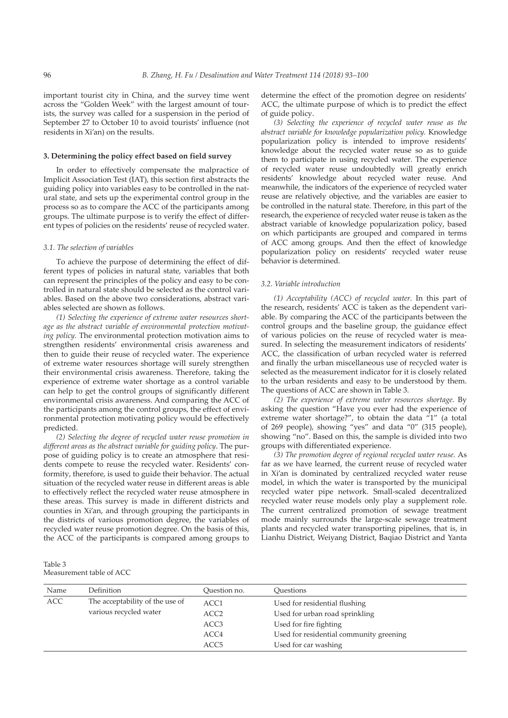important tourist city in China, and the survey time went across the "Golden Week" with the largest amount of tourists, the survey was called for a suspension in the period of September 27 to October 10 to avoid tourists' influence (not residents in Xi'an) on the results.

# **3. Determining the policy effect based on field survey**

In order to effectively compensate the malpractice of Implicit Association Test (IAT), this section first abstracts the guiding policy into variables easy to be controlled in the natural state, and sets up the experimental control group in the process so as to compare the ACC of the participants among groups. The ultimate purpose is to verify the effect of different types of policies on the residents' reuse of recycled water.

# *3.1. The selection of variables*

To achieve the purpose of determining the effect of different types of policies in natural state, variables that both can represent the principles of the policy and easy to be controlled in natural state should be selected as the control variables. Based on the above two considerations, abstract variables selected are shown as follows.

*(1) Selecting the experience of extreme water resources shortage as the abstract variable of environmental protection motivating policy.* The environmental protection motivation aims to strengthen residents' environmental crisis awareness and then to guide their reuse of recycled water. The experience of extreme water resources shortage will surely strengthen their environmental crisis awareness. Therefore, taking the experience of extreme water shortage as a control variable can help to get the control groups of significantly different environmental crisis awareness. And comparing the ACC of the participants among the control groups, the effect of environmental protection motivating policy would be effectively predicted.

*(2) Selecting the degree of recycled water reuse promotion in different areas as the abstract variable for guiding policy*. The purpose of guiding policy is to create an atmosphere that residents compete to reuse the recycled water. Residents' conformity, therefore, is used to guide their behavior. The actual situation of the recycled water reuse in different areas is able to effectively reflect the recycled water reuse atmosphere in these areas. This survey is made in different districts and counties in Xi'an, and through grouping the participants in the districts of various promotion degree, the variables of recycled water reuse promotion degree. On the basis of this, the ACC of the participants is compared among groups to

determine the effect of the promotion degree on residents' ACC, the ultimate purpose of which is to predict the effect of guide policy.

*(3) Selecting the experience of recycled water reuse as the abstract variable for knowledge popularization policy.* Knowledge popularization policy is intended to improve residents' knowledge about the recycled water reuse so as to guide them to participate in using recycled water. The experience of recycled water reuse undoubtedly will greatly enrich residents' knowledge about recycled water reuse. And meanwhile, the indicators of the experience of recycled water reuse are relatively objective, and the variables are easier to be controlled in the natural state. Therefore, in this part of the research, the experience of recycled water reuse is taken as the abstract variable of knowledge popularization policy, based on which participants are grouped and compared in terms of ACC among groups. And then the effect of knowledge popularization policy on residents' recycled water reuse behavior is determined.

## *3.2. Variable introduction*

*(1) Acceptability (ACC) of recycled water.* In this part of the research, residents' ACC is taken as the dependent variable. By comparing the ACC of the participants between the control groups and the baseline group, the guidance effect of various policies on the reuse of recycled water is measured. In selecting the measurement indicators of residents' ACC, the classification of urban recycled water is referred and finally the urban miscellaneous use of recycled water is selected as the measurement indicator for it is closely related to the urban residents and easy to be understood by them. The questions of ACC are shown in Table 3.

*(2) The experience of extreme water resources shortage.* By asking the question "Have you ever had the experience of extreme water shortage?", to obtain the data "1" (a total of 269 people), showing "yes" and data "0" (315 people), showing "no". Based on this, the sample is divided into two groups with differentiated experience.

*(3) The promotion degree of regional recycled water reuse.* As far as we have learned, the current reuse of recycled water in Xi'an is dominated by centralized recycled water reuse model, in which the water is transported by the municipal recycled water pipe network. Small-scaled decentralized recycled water reuse models only play a supplement role. The current centralized promotion of sewage treatment mode mainly surrounds the large-scale sewage treatment plants and recycled water transporting pipelines, that is, in Lianhu District, Weiyang District, Baqiao District and Yanta

| Table 3                  |  |
|--------------------------|--|
| Measurement table of ACC |  |

| Name       | Definition                      | Ouestion no. | <b>Ouestions</b>                        |
|------------|---------------------------------|--------------|-----------------------------------------|
| <b>ACC</b> | The acceptability of the use of | ACC1         | Used for residential flushing           |
|            | various recycled water          | ACC2         | Used for urban road sprinkling          |
|            |                                 | ACC3         | Used for fire fighting                  |
|            |                                 | ACC4         | Used for residential community greening |
|            |                                 | ACC5         | Used for car washing                    |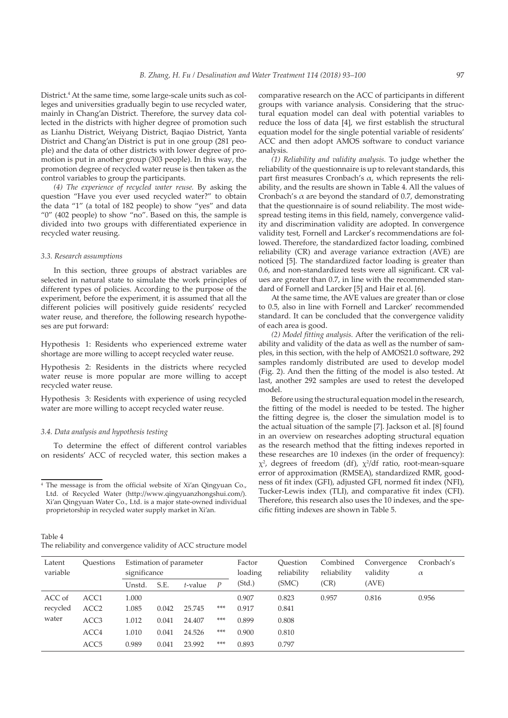District.<sup>4</sup> At the same time, some large-scale units such as colleges and universities gradually begin to use recycled water, mainly in Chang'an District. Therefore, the survey data collected in the districts with higher degree of promotion such as Lianhu District, Weiyang District, Baqiao District, Yanta District and Chang'an District is put in one group (281 people) and the data of other districts with lower degree of promotion is put in another group (303 people). In this way, the promotion degree of recycled water reuse is then taken as the control variables to group the participants.

*(4) The experience of recycled water reuse.* By asking the question "Have you ever used recycled water?" to obtain the data "1" (a total of 182 people) to show "yes" and data "0" (402 people) to show "no". Based on this, the sample is divided into two groups with differentiated experience in recycled water reusing.

### *3.3. Research assumptions*

In this section, three groups of abstract variables are selected in natural state to simulate the work principles of different types of policies. According to the purpose of the experiment, before the experiment, it is assumed that all the different policies will positively guide residents' recycled water reuse, and therefore, the following research hypotheses are put forward:

Hypothesis 1: Residents who experienced extreme water shortage are more willing to accept recycled water reuse.

Hypothesis 2: Residents in the districts where recycled water reuse is more popular are more willing to accept recycled water reuse.

Hypothesis 3: Residents with experience of using recycled water are more willing to accept recycled water reuse.

## *3.4. Data analysis and hypothesis testing*

To determine the effect of different control variables on residents' ACC of recycled water, this section makes a

Table 4 The reliability and convergence validity of ACC structure model comparative research on the ACC of participants in different groups with variance analysis. Considering that the structural equation model can deal with potential variables to reduce the loss of data [4], we first establish the structural equation model for the single potential variable of residents' ACC and then adopt AMOS software to conduct variance analysis.

*(1) Reliability and validity analysis.* To judge whether the reliability of the questionnaire is up to relevant standards, this part first measures Cronbach's  $\alpha$ , which represents the reliability, and the results are shown in Table 4. All the values of Cronbach's  $\alpha$  are beyond the standard of 0.7, demonstrating that the questionnaire is of sound reliability. The most widespread testing items in this field, namely, convergence validity and discrimination validity are adopted. In convergence validity test, Fornell and Larcker's recommendations are followed. Therefore, the standardized factor loading, combined reliability (CR) and average variance extraction (AVE) are noticed [5]. The standardized factor loading is greater than 0.6, and non-standardized tests were all significant. CR values are greater than 0.7, in line with the recommended standard of Fornell and Larcker [5] and Hair et al. [6].

At the same time, the AVE values are greater than or close to 0.5, also in line with Fornell and Larcker' recommended standard. It can be concluded that the convergence validity of each area is good.

*(2) Model fitting analysis.* After the verification of the reliability and validity of the data as well as the number of samples, in this section, with the help of AMOS21.0 software, 292 samples randomly distributed are used to develop model (Fig. 2). And then the fitting of the model is also tested. At last, another 292 samples are used to retest the developed model.

Before using the structural equation model in the research, the fitting of the model is needed to be tested. The higher the fitting degree is, the closer the simulation model is to the actual situation of the sample [7]. Jackson et al. [8] found in an overview on researches adopting structural equation as the research method that the fitting indexes reported in these researches are 10 indexes (in the order of frequency):  $\chi^2$ , degrees of freedom (df),  $\chi^2$ /df ratio, root-mean-square error of approximation (RMSEA), standardized RMR, goodness of fit index (GFI), adjusted GFI, normed fit index (NFI), Tucker-Lewis index (TLI), and comparative fit index (CFI). Therefore, this research also uses the 10 indexes, and the specific fitting indexes are shown in Table 5.

| Latent<br>variable | <b>Ouestions</b> | Estimation of parameter<br>significance |       |         | Factor<br>Ouestion<br>loading |        | reliability | Combined<br>reliability | Convergence<br>validity | Cronbach's<br>$\alpha$ |
|--------------------|------------------|-----------------------------------------|-------|---------|-------------------------------|--------|-------------|-------------------------|-------------------------|------------------------|
|                    |                  | Unstd.                                  | S.E.  | t-value | P                             | (Std.) | (SMC)       | (CR)                    | (AVE)                   |                        |
| ACC of             | ACC1             | 1.000                                   |       |         |                               | 0.907  | 0.823       | 0.957                   | 0.816                   | 0.956                  |
| recycled           | ACC <sub>2</sub> | 1.085                                   | 0.042 | 25.745  | ***                           | 0.917  | 0.841       |                         |                         |                        |
| water              | ACC <sub>3</sub> | 1.012                                   | 0.041 | 24.407  | ***                           | 0.899  | 0.808       |                         |                         |                        |
|                    | ACC4             | 1.010                                   | 0.041 | 24.526  | ***                           | 0.900  | 0.810       |                         |                         |                        |
|                    | ACC <sub>5</sub> | 0.989                                   | 0.041 | 23.992  | ***                           | 0.893  | 0.797       |                         |                         |                        |

<sup>4</sup> The message is from the official website of Xi'an Qingyuan Co., Ltd. of Recycled Water (http://www.qingyuanzhongshui.com/). Xi'an Qingyuan Water Co., Ltd. is a major state-owned individual proprietorship in recycled water supply market in Xi'an.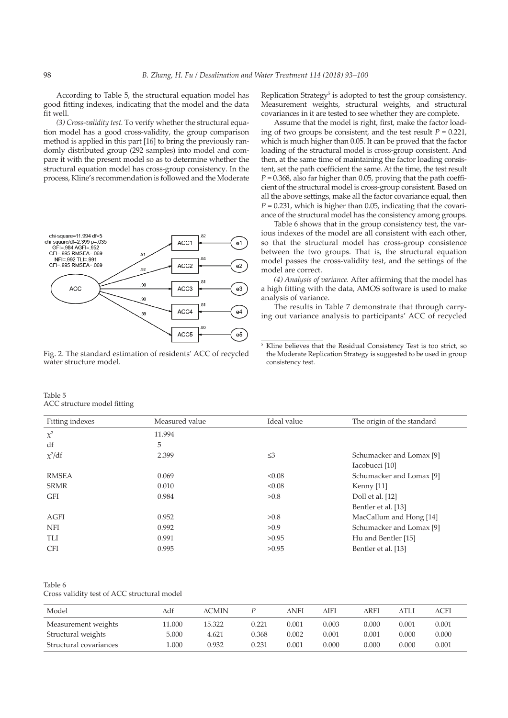According to Table 5, the structural equation model has good fitting indexes, indicating that the model and the data fit well.

*(3) Cross-validity test.* To verify whether the structural equation model has a good cross-validity, the group comparison method is applied in this part [16] to bring the previously randomly distributed group (292 samples) into model and compare it with the present model so as to determine whether the structural equation model has cross-group consistency. In the process, Kline's recommendation is followed and the Moderate



Fig. 2. The standard estimation of residents' ACC of recycled water structure model.

Replication Strategy<sup>5</sup> is adopted to test the group consistency. Measurement weights, structural weights, and structural covariances in it are tested to see whether they are complete.

Assume that the model is right, first, make the factor loading of two groups be consistent, and the test result  $P = 0.221$ , which is much higher than 0.05. It can be proved that the factor loading of the structural model is cross-group consistent. And then, at the same time of maintaining the factor loading consistent, set the path coefficient the same. At the time, the test result  $P = 0.368$ , also far higher than 0.05, proving that the path coefficient of the structural model is cross-group consistent. Based on all the above settings, make all the factor covariance equal, then  $P = 0.231$ , which is higher than 0.05, indicating that the covariance of the structural model has the consistency among groups.

Table 6 shows that in the group consistency test, the various indexes of the model are all consistent with each other, so that the structural model has cross-group consistence between the two groups. That is, the structural equation model passes the cross-validity test, and the settings of the model are correct.

*(4) Analysis of variance.* After affirming that the model has a high fitting with the data, AMOS software is used to make analysis of variance.

The results in Table 7 demonstrate that through carrying out variance analysis to participants' ACC of recycled

<sup>5</sup> Kline believes that the Residual Consistency Test is too strict, so the Moderate Replication Strategy is suggested to be used in group consistency test.

Table 5 ACC structure model fitting

|                 | $\overline{ }$ |             |                            |
|-----------------|----------------|-------------|----------------------------|
| Fitting indexes | Measured value | Ideal value | The origin of the standard |
| $\chi^2$        | 11.994         |             |                            |
| df              | 5              |             |                            |
| $\chi^2$ /df    | 2.399          | $\leq$ 3    | Schumacker and Lomax [9]   |
|                 |                |             | Iacobucci [10]             |
| <b>RMSEA</b>    | 0.069          | < 0.08      | Schumacker and Lomax [9]   |
| <b>SRMR</b>     | 0.010          | < 0.08      | Kenny $[11]$               |
| GFI             | 0.984          | >0.8        | Doll et al. [12]           |
|                 |                |             | Bentler et al. [13]        |
| AGFI            | 0.952          | >0.8        | MacCallum and Hong [14]    |
| NFI             | 0.992          | >0.9        | Schumacker and Lomax [9]   |
| <b>TLI</b>      | 0.991          | >0.95       | Hu and Bentler [15]        |
| <b>CFI</b>      | 0.995          | >0.95       | Bentler et al. [13]        |

Table 6

Cross validity test of ACC structural model

| Model                  | ∆df    | <b>ACMIN</b> |       | ANFI  | AIFI      | ARFI  | ATLI  | ΔCFI  |
|------------------------|--------|--------------|-------|-------|-----------|-------|-------|-------|
| Measurement weights    | 11.000 | 15.322       | 0.221 | 0.001 | 0.003     | 0.000 | 0.001 | 0.001 |
| Structural weights     | 5.000  | 4.621        | 0.368 | 0.002 | $0.001\,$ | 0.001 | 0.000 | 0.000 |
| Structural covariances | .000   | 0.932        | 0.231 | 0.001 | 0.000     | 0.000 | 0.000 | 0.001 |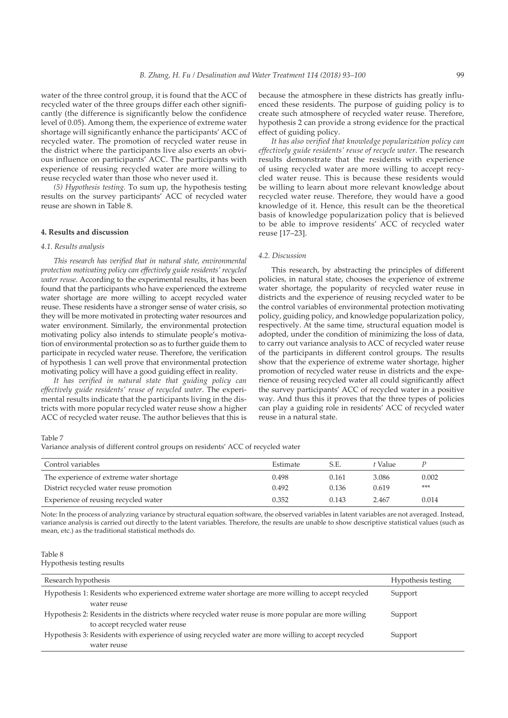water of the three control group, it is found that the ACC of recycled water of the three groups differ each other significantly (the difference is significantly below the confidence level of 0.05). Among them, the experience of extreme water shortage will significantly enhance the participants' ACC of recycled water. The promotion of recycled water reuse in the district where the participants live also exerts an obvious influence on participants' ACC. The participants with experience of reusing recycled water are more willing to reuse recycled water than those who never used it.

*(5) Hypothesis testing.* To sum up, the hypothesis testing results on the survey participants' ACC of recycled water reuse are shown in Table 8.

# **4. Results and discussion**

# *4.1. Results analysis*

*This research has verified that in natural state, environmental protection motivating policy can effectively guide residents' recycled water reuse.* According to the experimental results, it has been found that the participants who have experienced the extreme water shortage are more willing to accept recycled water reuse. These residents have a stronger sense of water crisis, so they will be more motivated in protecting water resources and water environment. Similarly, the environmental protection motivating policy also intends to stimulate people's motivation of environmental protection so as to further guide them to participate in recycled water reuse. Therefore, the verification of hypothesis 1 can well prove that environmental protection motivating policy will have a good guiding effect in reality.

*It has verified in natural state that guiding policy can effectively guide residents' reuse of recycled water*. The experimental results indicate that the participants living in the districts with more popular recycled water reuse show a higher ACC of recycled water reuse. The author believes that this is because the atmosphere in these districts has greatly influenced these residents. The purpose of guiding policy is to create such atmosphere of recycled water reuse. Therefore, hypothesis 2 can provide a strong evidence for the practical effect of guiding policy.

*It has also verified that knowledge popularization policy can effectively guide residents' reuse of recycle water*. The research results demonstrate that the residents with experience of using recycled water are more willing to accept recycled water reuse. This is because these residents would be willing to learn about more relevant knowledge about recycled water reuse. Therefore, they would have a good knowledge of it. Hence, this result can be the theoretical basis of knowledge popularization policy that is believed to be able to improve residents' ACC of recycled water reuse [17–23].

# *4.2. Discussion*

This research, by abstracting the principles of different policies, in natural state, chooses the experience of extreme water shortage, the popularity of recycled water reuse in districts and the experience of reusing recycled water to be the control variables of environmental protection motivating policy, guiding policy, and knowledge popularization policy, respectively. At the same time, structural equation model is adopted, under the condition of minimizing the loss of data, to carry out variance analysis to ACC of recycled water reuse of the participants in different control groups. The results show that the experience of extreme water shortage, higher promotion of recycled water reuse in districts and the experience of reusing recycled water all could significantly affect the survey participants' ACC of recycled water in a positive way. And thus this it proves that the three types of policies can play a guiding role in residents' ACC of recycled water reuse in a natural state.

Table 7

Variance analysis of different control groups on residents' ACC of recycled water

| Control variables                        | Estimate | S.E.  | t Value |       |
|------------------------------------------|----------|-------|---------|-------|
| The experience of extreme water shortage | 0.498    | 0.161 | 3.086   | 0.002 |
| District recycled water reuse promotion  | 0.492    | 0.136 | 0.619   | ***   |
| Experience of reusing recycled water     | 0.352    | 0.143 | 2.467   | 0.014 |

Note: In the process of analyzing variance by structural equation software, the observed variables in latent variables are not averaged. Instead, variance analysis is carried out directly to the latent variables. Therefore, the results are unable to show descriptive statistical values (such as mean, etc.) as the traditional statistical methods do.

# Table 8

Hypothesis testing results

| Research hypothesis                                                                                  | Hypothesis testing |
|------------------------------------------------------------------------------------------------------|--------------------|
| Hypothesis 1: Residents who experienced extreme water shortage are more willing to accept recycled   | Support            |
| water reuse                                                                                          |                    |
| Hypothesis 2: Residents in the districts where recycled water reuse is more popular are more willing | Support            |
| to accept recycled water reuse                                                                       |                    |
| Hypothesis 3: Residents with experience of using recycled water are more willing to accept recycled  | Support            |
| water reuse                                                                                          |                    |